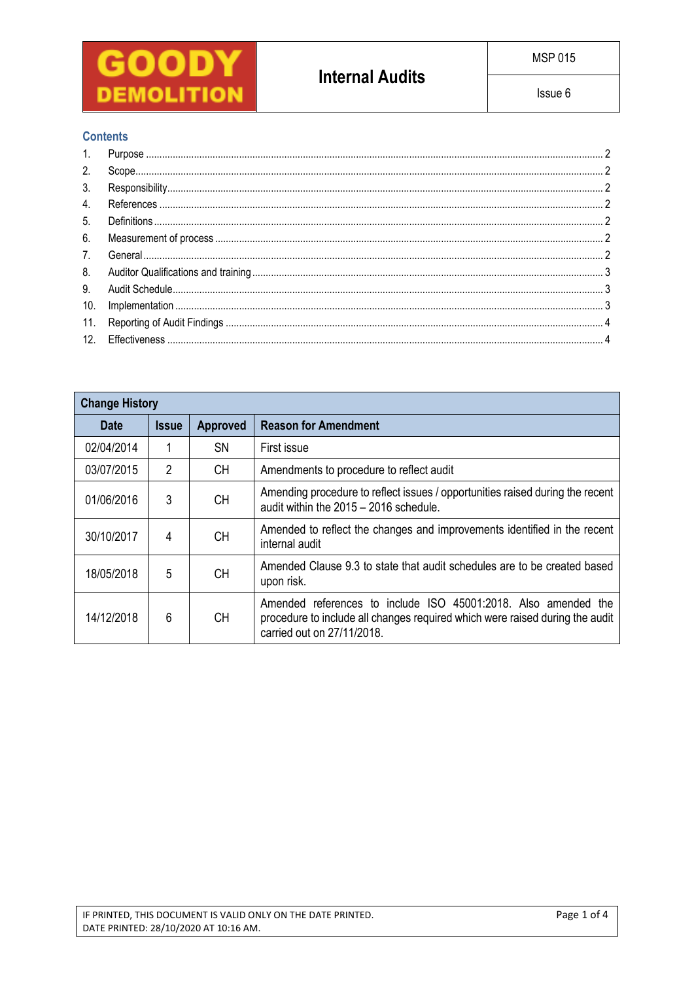

## **Contents**

| 2.  |  |
|-----|--|
| 3.  |  |
| 4.  |  |
| 5.  |  |
| 6.  |  |
| 7.  |  |
| 8.  |  |
| 9.  |  |
| 10. |  |
|     |  |
|     |  |

| <b>Change History</b>                          |                |           |                                                                                                                                                                              |  |  |  |  |  |
|------------------------------------------------|----------------|-----------|------------------------------------------------------------------------------------------------------------------------------------------------------------------------------|--|--|--|--|--|
| <b>Approved</b><br><b>Date</b><br><b>Issue</b> |                |           | <b>Reason for Amendment</b>                                                                                                                                                  |  |  |  |  |  |
| 02/04/2014                                     |                | <b>SN</b> | First issue                                                                                                                                                                  |  |  |  |  |  |
| 03/07/2015                                     | $\overline{2}$ | <b>CH</b> | Amendments to procedure to reflect audit                                                                                                                                     |  |  |  |  |  |
| 01/06/2016                                     | 3              | <b>CH</b> | Amending procedure to reflect issues / opportunities raised during the recent<br>audit within the 2015 - 2016 schedule.                                                      |  |  |  |  |  |
| 30/10/2017                                     | 4              | <b>CH</b> | Amended to reflect the changes and improvements identified in the recent<br>internal audit                                                                                   |  |  |  |  |  |
| 18/05/2018                                     | 5              | <b>CH</b> | Amended Clause 9.3 to state that audit schedules are to be created based<br>upon risk.                                                                                       |  |  |  |  |  |
| 14/12/2018                                     | 6              | <b>CH</b> | Amended references to include ISO 45001:2018. Also amended the<br>procedure to include all changes required which were raised during the audit<br>carried out on 27/11/2018. |  |  |  |  |  |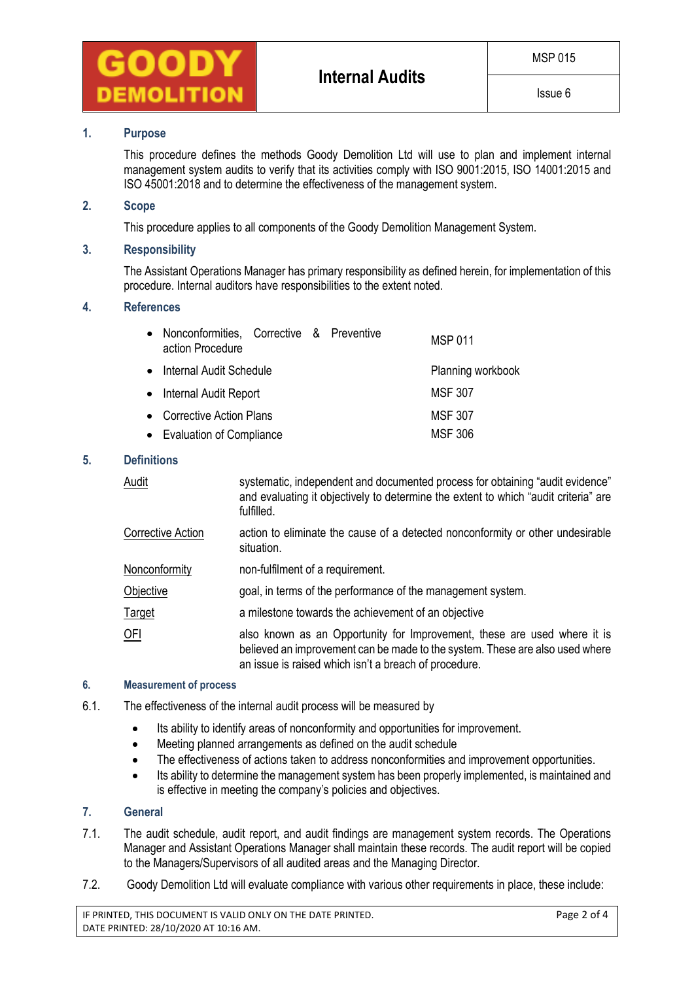

### **1. Purpose**

This procedure defines the methods Goody Demolition Ltd will use to plan and implement internal management system audits to verify that its activities comply with ISO 9001:2015, ISO 14001:2015 and ISO 45001:2018 and to determine the effectiveness of the management system.

### **2. Scope**

This procedure applies to all components of the Goody Demolition Management System.

### **3. Responsibility**

The Assistant Operations Manager has primary responsibility as defined herein, for implementation of this procedure. Internal auditors have responsibilities to the extent noted.

### **4. References**

| $\bullet$ | Nonconformities, Corrective & Preventive<br>action Procedure |  |                |  |  | <b>MSP 011</b>    |
|-----------|--------------------------------------------------------------|--|----------------|--|--|-------------------|
| $\bullet$ | Internal Audit Schedule                                      |  |                |  |  | Planning workbook |
|           | • Internal Audit Report                                      |  |                |  |  | <b>MSF 307</b>    |
|           | • Corrective Action Plans                                    |  |                |  |  | <b>MSF 307</b>    |
|           | • Evaluation of Compliance                                   |  | <b>MSF 306</b> |  |  |                   |

### **5. Definitions**

| Audit             | systematic, independent and documented process for obtaining "audit evidence"<br>and evaluating it objectively to determine the extent to which "audit criteria" are<br>fulfilled.                                |
|-------------------|-------------------------------------------------------------------------------------------------------------------------------------------------------------------------------------------------------------------|
| Corrective Action | action to eliminate the cause of a detected nonconformity or other undesirable<br>situation.                                                                                                                      |
| Nonconformity     | non-fulfilment of a requirement.                                                                                                                                                                                  |
| Objective         | goal, in terms of the performance of the management system.                                                                                                                                                       |
| <u>Target</u>     | a milestone towards the achievement of an objective                                                                                                                                                               |
| OFI               | also known as an Opportunity for Improvement, these are used where it is<br>believed an improvement can be made to the system. These are also used where<br>an issue is raised which isn't a breach of procedure. |

#### **6. Measurement of process**

- 6.1. The effectiveness of the internal audit process will be measured by
	- Its ability to identify areas of nonconformity and opportunities for improvement.
	- Meeting planned arrangements as defined on the audit schedule
	- The effectiveness of actions taken to address nonconformities and improvement opportunities.
	- Its ability to determine the management system has been properly implemented, is maintained and is effective in meeting the company's policies and objectives.

# **7. General**

- 7.1. The audit schedule, audit report, and audit findings are management system records. The Operations Manager and Assistant Operations Manager shall maintain these records. The audit report will be copied to the Managers/Supervisors of all audited areas and the Managing Director.
- 7.2. Goody Demolition Ltd will evaluate compliance with various other requirements in place, these include:

IF PRINTED, THIS DOCUMENT IS VALID ONLY ON THE DATE PRINTED. Page 2 of 4 DATE PRINTED: 28/10/2020 AT 10:16 AM.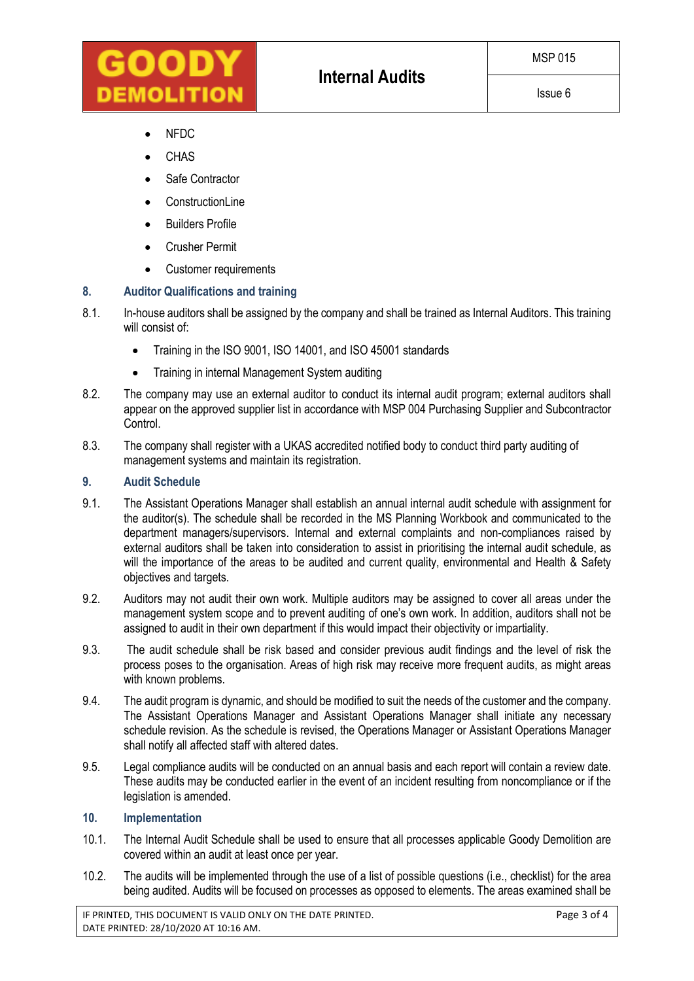- NFDC
- CHAS
- Safe Contractor
- **ConstructionLine**
- Builders Profile
- Crusher Permit
- Customer requirements

# **8. Auditor Qualifications and training**

- 8.1. In-house auditors shall be assigned by the company and shall be trained as Internal Auditors. This training will consist of:
	- Training in the ISO 9001, ISO 14001, and ISO 45001 standards
	- Training in internal Management System auditing
- 8.2. The company may use an external auditor to conduct its internal audit program; external auditors shall appear on the approved supplier list in accordance with MSP 004 Purchasing Supplier and Subcontractor Control.
- 8.3. The company shall register with a UKAS accredited notified body to conduct third party auditing of management systems and maintain its registration.

## **9. Audit Schedule**

- 9.1. The Assistant Operations Manager shall establish an annual internal audit schedule with assignment for the auditor(s). The schedule shall be recorded in the MS Planning Workbook and communicated to the department managers/supervisors. Internal and external complaints and non-compliances raised by external auditors shall be taken into consideration to assist in prioritising the internal audit schedule, as will the importance of the areas to be audited and current quality, environmental and Health & Safety objectives and targets.
- 9.2. Auditors may not audit their own work. Multiple auditors may be assigned to cover all areas under the management system scope and to prevent auditing of one's own work. In addition, auditors shall not be assigned to audit in their own department if this would impact their objectivity or impartiality.
- 9.3. The audit schedule shall be risk based and consider previous audit findings and the level of risk the process poses to the organisation. Areas of high risk may receive more frequent audits, as might areas with known problems.
- 9.4. The audit program is dynamic, and should be modified to suit the needs of the customer and the company. The Assistant Operations Manager and Assistant Operations Manager shall initiate any necessary schedule revision. As the schedule is revised, the Operations Manager or Assistant Operations Manager shall notify all affected staff with altered dates.
- 9.5. Legal compliance audits will be conducted on an annual basis and each report will contain a review date. These audits may be conducted earlier in the event of an incident resulting from noncompliance or if the legislation is amended.

### **10. Implementation**

- 10.1. The Internal Audit Schedule shall be used to ensure that all processes applicable Goody Demolition are covered within an audit at least once per year.
- 10.2. The audits will be implemented through the use of a list of possible questions (i.e., checklist) for the area being audited. Audits will be focused on processes as opposed to elements. The areas examined shall be

IF PRINTED, THIS DOCUMENT IS VALID ONLY ON THE DATE PRINTED. Page 3 of 4 DATE PRINTED: 28/10/2020 AT 10:16 AM.